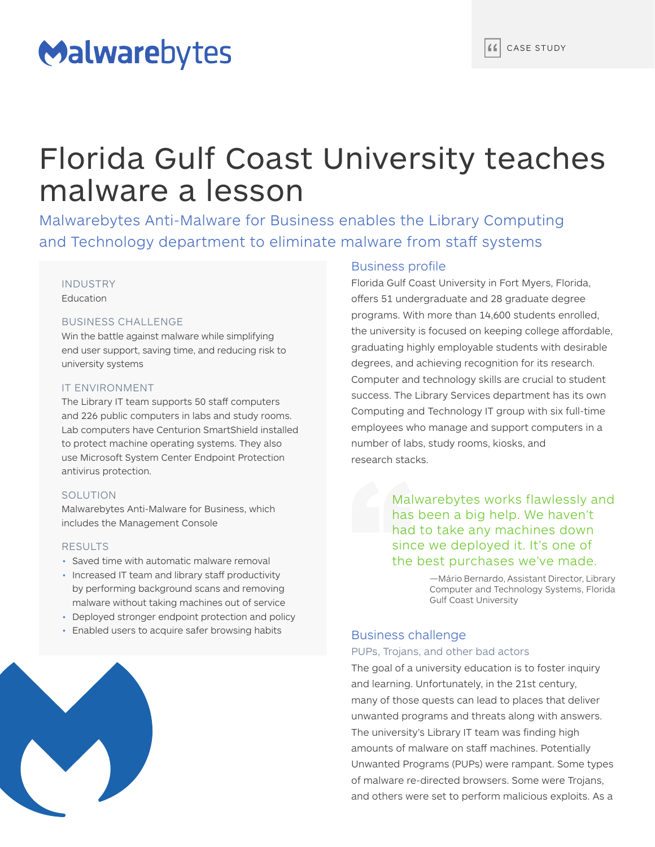# Malwarebytes

# Florida Gulf Coast University teaches malware a lesson

Malwarebytes Anti-Malware for Business enables the Library Computing and Technology department to eliminate malware from staff systems

# INDUSTRY

**Education** 

#### BUSINESS CHALLENGE

Win the battle against malware while simplifying end user support, saving time, and reducing risk to university systems

# IT ENVIRONMENT

The Library IT team supports 50 staff computers and 226 public computers in labs and study rooms. Lab computers have Centurion SmartShield installed to protect machine operating systems. They also use Microsoft System Center Endpoint Protection antivirus protection.

# SOLUTION

Malwarebytes Anti-Malware for Business, which includes the Management Console

#### RESULTS

- Saved time with automatic malware removal
- Increased IT team and library staff productivity by performing background scans and removing malware without taking machines out of service
- Deployed stronger endpoint protection and policy
- Enabled users to acquire safer browsing habits



Florida Gulf Coast University in Fort Myers, Florida, offers 51 undergraduate and 28 graduate degree programs. With more than 14,600 students enrolled, the university is focused on keeping college affordable, graduating highly employable students with desirable degrees, and achieving recognition for its research. Computer and technology skills are crucial to student success. The Library Services department has its own Computing and Technology IT group with six full-time employees who manage and support computers in a number of labs, study rooms, kiosks, and research stacks.

> Malwarebytes works flawlessly and has been a big help. We haven't had to take any machines down since we deployed it. It's one of the best purchases we've made.

> > —Mário Bernardo, Assistant Director, Library Computer and Technology Systems, Florida Gulf Coast University

# Business challenge

#### PUPs, Trojans, and other bad actors

The goal of a university education is to foster inquiry and learning. Unfortunately, in the 21st century, many of those quests can lead to places that deliver unwanted programs and threats along with answers. The university's Library IT team was finding high amounts of malware on staff machines. Potentially Unwanted Programs (PUPs) were rampant. Some types of malware re-directed browsers. Some were Trojans, and others were set to perform malicious exploits. As a

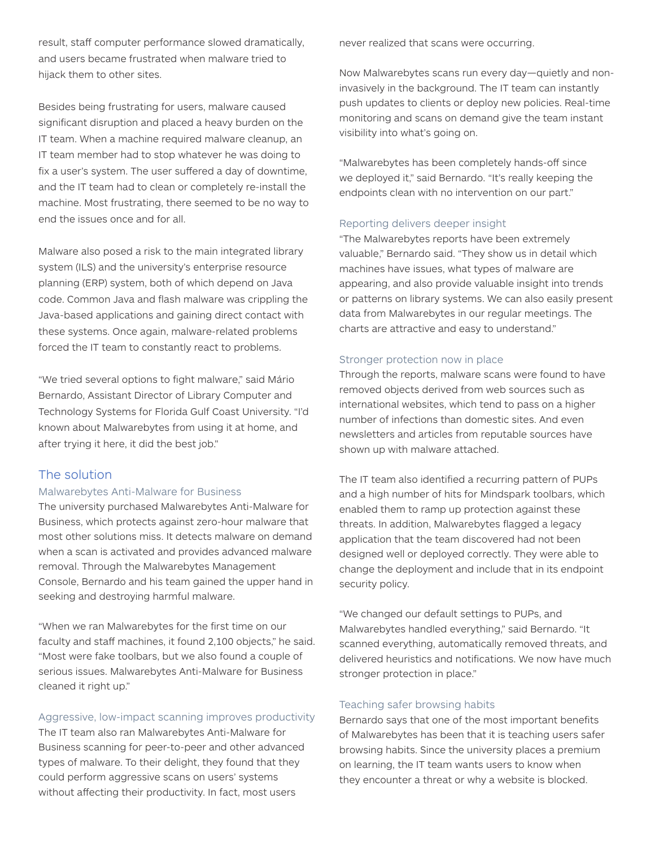result, staff computer performance slowed dramatically, and users became frustrated when malware tried to hijack them to other sites.

Besides being frustrating for users, malware caused significant disruption and placed a heavy burden on the IT team. When a machine required malware cleanup, an IT team member had to stop whatever he was doing to fix a user's system. The user suffered a day of downtime, and the IT team had to clean or completely re-install the machine. Most frustrating, there seemed to be no way to end the issues once and for all.

Malware also posed a risk to the main integrated library system (ILS) and the university's enterprise resource planning (ERP) system, both of which depend on Java code. Common Java and flash malware was crippling the Java-based applications and gaining direct contact with these systems. Once again, malware-related problems forced the IT team to constantly react to problems.

"We tried several options to fight malware," said Mário Bernardo, Assistant Director of Library Computer and Technology Systems for Florida Gulf Coast University. "I'd known about Malwarebytes from using it at home, and after trying it here, it did the best job."

# The solution

# Malwarebytes Anti-Malware for Business

The university purchased Malwarebytes Anti-Malware for Business, which protects against zero-hour malware that most other solutions miss. It detects malware on demand when a scan is activated and provides advanced malware removal. Through the Malwarebytes Management Console, Bernardo and his team gained the upper hand in seeking and destroying harmful malware.

"When we ran Malwarebytes for the first time on our faculty and staff machines, it found 2,100 objects," he said. "Most were fake toolbars, but we also found a couple of serious issues. Malwarebytes Anti-Malware for Business cleaned it right up."

# Aggressive, low-impact scanning improves productivity

The IT team also ran Malwarebytes Anti-Malware for Business scanning for peer-to-peer and other advanced types of malware. To their delight, they found that they could perform aggressive scans on users' systems without affecting their productivity. In fact, most users

never realized that scans were occurring.

Now Malwarebytes scans run every day—quietly and noninvasively in the background. The IT team can instantly push updates to clients or deploy new policies. Real-time monitoring and scans on demand give the team instant visibility into what's going on.

"Malwarebytes has been completely hands-off since we deployed it," said Bernardo. "It's really keeping the endpoints clean with no intervention on our part."

#### Reporting delivers deeper insight

"The Malwarebytes reports have been extremely valuable," Bernardo said. "They show us in detail which machines have issues, what types of malware are appearing, and also provide valuable insight into trends or patterns on library systems. We can also easily present data from Malwarebytes in our regular meetings. The charts are attractive and easy to understand."

#### Stronger protection now in place

Through the reports, malware scans were found to have removed objects derived from web sources such as international websites, which tend to pass on a higher number of infections than domestic sites. And even newsletters and articles from reputable sources have shown up with malware attached.

The IT team also identified a recurring pattern of PUPs and a high number of hits for Mindspark toolbars, which enabled them to ramp up protection against these threats. In addition, Malwarebytes flagged a legacy application that the team discovered had not been designed well or deployed correctly. They were able to change the deployment and include that in its endpoint security policy.

"We changed our default settings to PUPs, and Malwarebytes handled everything," said Bernardo. "It scanned everything, automatically removed threats, and delivered heuristics and notifications. We now have much stronger protection in place."

# Teaching safer browsing habits

Bernardo says that one of the most important benefits of Malwarebytes has been that it is teaching users safer browsing habits. Since the university places a premium on learning, the IT team wants users to know when they encounter a threat or why a website is blocked.